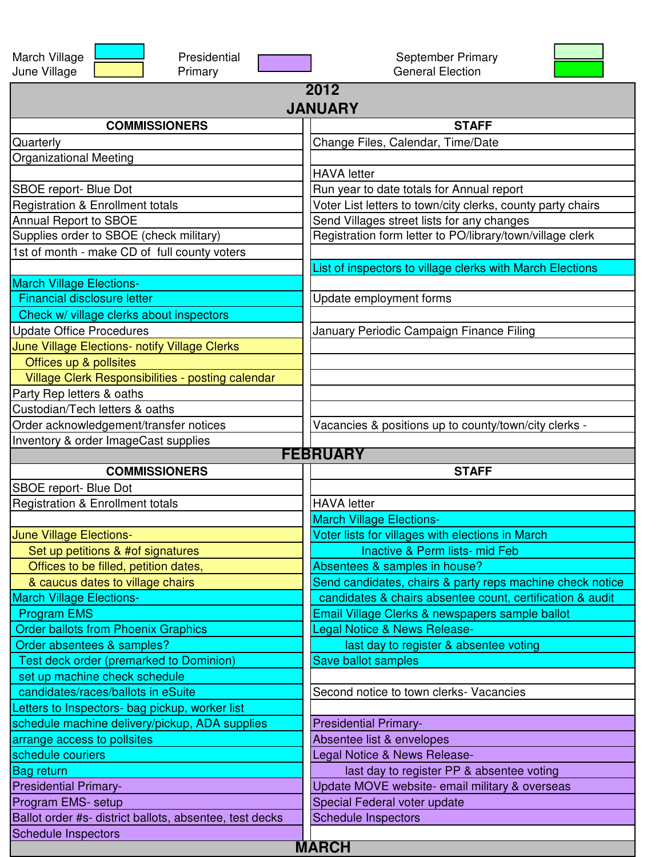| Presidential<br>March Village<br>June Village<br>Primary | September Primary<br><b>General Election</b>                |  |
|----------------------------------------------------------|-------------------------------------------------------------|--|
| 2012<br><b>JANUARY</b>                                   |                                                             |  |
| <b>COMMISSIONERS</b>                                     | <b>STAFF</b>                                                |  |
| Quarterly                                                | Change Files, Calendar, Time/Date                           |  |
| <b>Organizational Meeting</b>                            |                                                             |  |
|                                                          | <b>HAVA</b> letter                                          |  |
| SBOE report- Blue Dot                                    | Run year to date totals for Annual report                   |  |
| <b>Registration &amp; Enrollment totals</b>              | Voter List letters to town/city clerks, county party chairs |  |
| Annual Report to SBOE                                    | Send Villages street lists for any changes                  |  |
| Supplies order to SBOE (check military)                  | Registration form letter to PO/library/town/village clerk   |  |
| 1st of month - make CD of full county voters             |                                                             |  |
|                                                          | List of inspectors to village clerks with March Elections   |  |
| <b>March Village Elections-</b>                          |                                                             |  |
| <b>Financial disclosure letter</b>                       | Update employment forms                                     |  |
| Check w/ village clerks about inspectors                 |                                                             |  |
| <b>Update Office Procedures</b>                          | January Periodic Campaign Finance Filing                    |  |
| June Village Elections- notify Village Clerks            |                                                             |  |
| Offices up & pollsites                                   |                                                             |  |
| Village Clerk Responsibilities - posting calendar        |                                                             |  |
| Party Rep letters & oaths                                |                                                             |  |
| Custodian/Tech letters & oaths                           |                                                             |  |
| Order acknowledgement/transfer notices                   | Vacancies & positions up to county/town/city clerks -       |  |
| Inventory & order ImageCast supplies                     |                                                             |  |
|                                                          | <b>FEBRUARY</b>                                             |  |
|                                                          |                                                             |  |
| <b>COMMISSIONERS</b>                                     | <b>STAFF</b>                                                |  |
| SBOE report- Blue Dot                                    |                                                             |  |
| <b>Registration &amp; Enrollment totals</b>              | <b>HAVA</b> letter                                          |  |
|                                                          | <b>March Village Elections-</b>                             |  |
| June Village Elections-                                  | Voter lists for villages with elections in March            |  |
| Set up petitions & #of signatures                        | Inactive & Perm lists- mid Feb                              |  |
| Offices to be filled, petition dates,                    | Absentees & samples in house?                               |  |
| & caucus dates to village chairs                         | Send candidates, chairs & party reps machine check notice   |  |
| <b>March Village Elections-</b>                          | candidates & chairs absentee count, certification & audit   |  |
| <b>Program EMS</b>                                       | Email Village Clerks & newspapers sample ballot             |  |
| <b>Order ballots from Phoenix Graphics</b>               | Legal Notice & News Release-                                |  |
| Order absentees & samples?                               | last day to register & absentee voting                      |  |
| <b>Test deck order (premarked to Dominion)</b>           | <b>Save ballot samples</b>                                  |  |
| set up machine check schedule                            |                                                             |  |
| candidates/races/ballots in eSuite                       | Second notice to town clerks-Vacancies                      |  |
| Letters to Inspectors- bag pickup, worker list           |                                                             |  |
| schedule machine delivery/pickup, ADA supplies           | <b>Presidential Primary-</b>                                |  |
| arrange access to pollsites                              | Absentee list & envelopes                                   |  |
| schedule couriers                                        | Legal Notice & News Release-                                |  |
| Bag return                                               | last day to register PP & absentee voting                   |  |
| <b>Presidential Primary-</b>                             | Update MOVE website- email military & overseas              |  |
| Program EMS- setup                                       | Special Federal voter update                                |  |
| Ballot order #s- district ballots, absentee, test decks  | <b>Schedule Inspectors</b>                                  |  |
| <b>Schedule Inspectors</b>                               | <b>MARCH</b>                                                |  |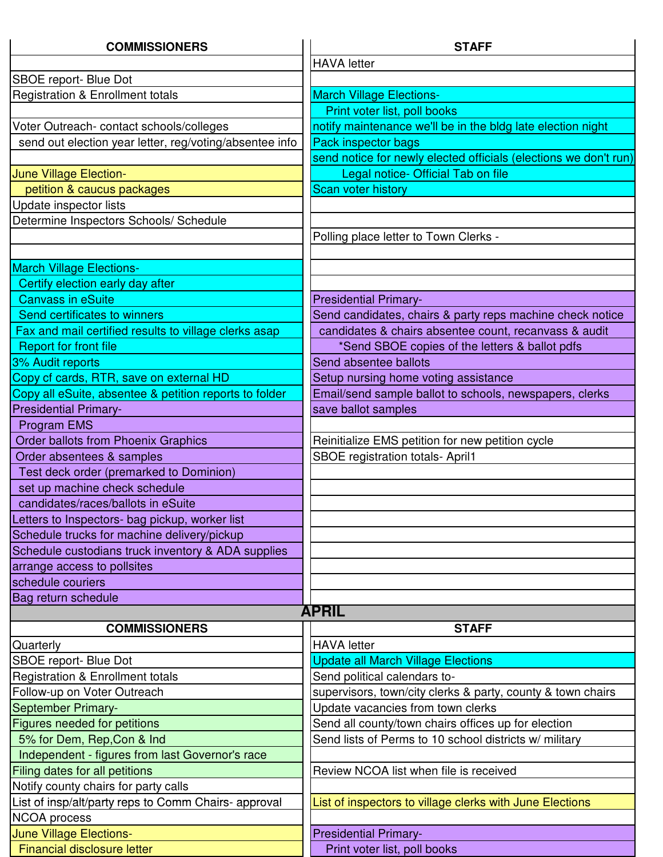| <b>COMMISSIONERS</b>                                    | <b>STAFF</b>                                                     |
|---------------------------------------------------------|------------------------------------------------------------------|
|                                                         | <b>HAVA</b> letter                                               |
| SBOE report- Blue Dot                                   |                                                                  |
| <b>Registration &amp; Enrollment totals</b>             | <b>March Village Elections-</b>                                  |
|                                                         | Print voter list, poll books                                     |
| Voter Outreach- contact schools/colleges                | notify maintenance we'll be in the bldg late election night      |
| send out election year letter, reg/voting/absentee info | Pack inspector bags                                              |
|                                                         | send notice for newly elected officials (elections we don't run) |
| June Village Election-                                  | Legal notice- Official Tab on file                               |
| petition & caucus packages                              | <b>Scan voter history</b>                                        |
| Update inspector lists                                  |                                                                  |
| Determine Inspectors Schools/ Schedule                  |                                                                  |
|                                                         | Polling place letter to Town Clerks -                            |
|                                                         |                                                                  |
| <b>March Village Elections-</b>                         |                                                                  |
| Certify election early day after                        |                                                                  |
| <b>Canvass in eSuite</b>                                | <b>Presidential Primary-</b>                                     |
| Send certificates to winners                            | Send candidates, chairs & party reps machine check notice        |
| Fax and mail certified results to village clerks asap   | candidates & chairs absentee count, recanvass & audit            |
| <b>Report for front file</b>                            | *Send SBOE copies of the letters & ballot pdfs                   |
| 3% Audit reports                                        | Send absentee ballots                                            |
| Copy cf cards, RTR, save on external HD                 | Setup nursing home voting assistance                             |
| Copy all eSuite, absentee & petition reports to folder  | Email/send sample ballot to schools, newspapers, clerks          |
| <b>Presidential Primary-</b>                            | save ballot samples                                              |
| Program EMS                                             |                                                                  |
| <b>Order ballots from Phoenix Graphics</b>              | Reinitialize EMS petition for new petition cycle                 |
| Order absentees & samples                               | SBOE registration totals- April1                                 |
| Test deck order (premarked to Dominion)                 |                                                                  |
| set up machine check schedule                           |                                                                  |
| candidates/races/ballots in eSuite                      |                                                                  |
| Letters to Inspectors- bag pickup, worker list          |                                                                  |
| Schedule trucks for machine delivery/pickup             |                                                                  |
| Schedule custodians truck inventory & ADA supplies      |                                                                  |
| arrange access to pollsites                             |                                                                  |
| schedule couriers                                       |                                                                  |
| Bag return schedule                                     | <b>APRIL</b>                                                     |
|                                                         |                                                                  |
| <b>COMMISSIONERS</b>                                    | <b>STAFF</b>                                                     |
| Quarterly                                               | <b>HAVA</b> letter                                               |
| SBOE report- Blue Dot                                   | <b>Update all March Village Elections</b>                        |
| <b>Registration &amp; Enrollment totals</b>             | Send political calendars to-                                     |
| Follow-up on Voter Outreach                             | supervisors, town/city clerks & party, county & town chairs      |
| September Primary-                                      | Update vacancies from town clerks                                |
| Figures needed for petitions                            | Send all county/town chairs offices up for election              |
| 5% for Dem, Rep, Con & Ind                              | Send lists of Perms to 10 school districts w/ military           |
| Independent - figures from last Governor's race         | Review NCOA list when file is received                           |
| Filing dates for all petitions                          |                                                                  |
| Notify county chairs for party calls                    |                                                                  |
| List of insp/alt/party reps to Comm Chairs- approval    | List of inspectors to village clerks with June Elections         |
| <b>NCOA</b> process                                     |                                                                  |
| June Village Elections-                                 | <b>Presidential Primary-</b>                                     |
| Financial disclosure letter                             | Print voter list, poll books                                     |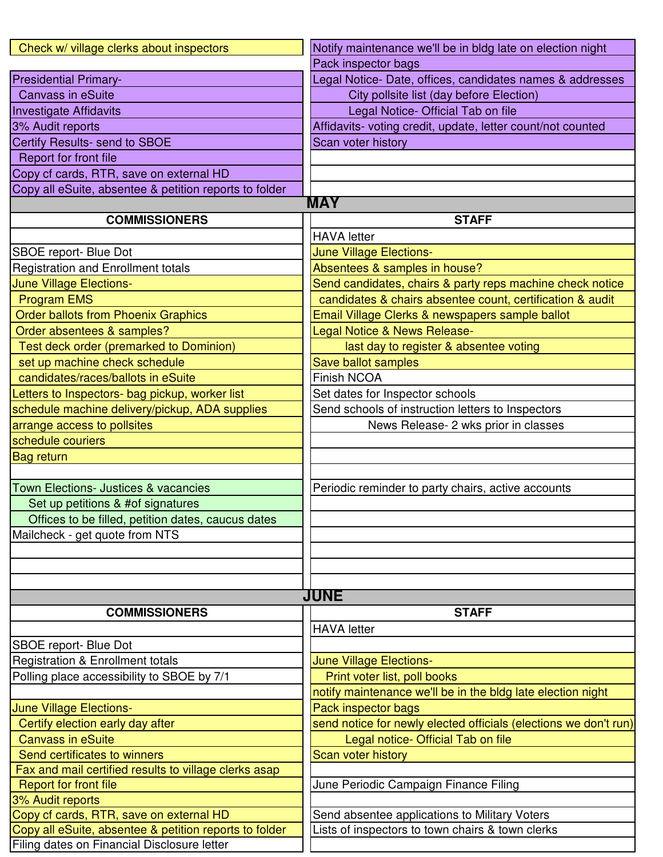| Check w/ village clerks about inspectors               | Notify maintenance we'll be in bldg late on election night       |
|--------------------------------------------------------|------------------------------------------------------------------|
|                                                        | Pack inspector bags                                              |
| <b>Presidential Primary-</b>                           | Legal Notice-Date, offices, candidates names & addresses         |
| <b>Canvass in eSuite</b>                               | City pollsite list (day before Election)                         |
| <b>Investigate Affidavits</b>                          | Legal Notice- Official Tab on file                               |
| 3% Audit reports                                       | Affidavits- voting credit, update, letter count/not counted      |
| Certify Results- send to SBOE                          | Scan voter history                                               |
| Report for front file                                  |                                                                  |
| Copy cf cards, RTR, save on external HD                |                                                                  |
| Copy all eSuite, absentee & petition reports to folder |                                                                  |
|                                                        | <b>MAY</b>                                                       |
| <b>COMMISSIONERS</b>                                   | <b>STAFF</b>                                                     |
|                                                        | <b>HAVA</b> letter                                               |
| SBOE report- Blue Dot                                  | <b>June Village Elections-</b>                                   |
| <b>Registration and Enrollment totals</b>              | Absentees & samples in house?                                    |
| June Village Elections-                                | Send candidates, chairs & party reps machine check notice        |
| <b>Program EMS</b>                                     | candidates & chairs absentee count, certification & audit        |
| <b>Order ballots from Phoenix Graphics</b>             | Email Village Clerks & newspapers sample ballot                  |
| Order absentees & samples?                             | Legal Notice & News Release-                                     |
| Test deck order (premarked to Dominion)                | last day to register & absentee voting                           |
| set up machine check schedule                          | Save ballot samples                                              |
| candidates/races/ballots in eSuite                     | <b>Finish NCOA</b>                                               |
| Letters to Inspectors- bag pickup, worker list         | Set dates for Inspector schools                                  |
| schedule machine delivery/pickup, ADA supplies         | Send schools of instruction letters to Inspectors                |
| arrange access to pollsites                            | News Release- 2 wks prior in classes                             |
| schedule couriers                                      |                                                                  |
| <b>Bag return</b>                                      |                                                                  |
|                                                        |                                                                  |
| <b>Town Elections- Justices &amp; vacancies</b>        | Periodic reminder to party chairs, active accounts               |
| Set up petitions & #of signatures                      |                                                                  |
| Offices to be filled, petition dates, caucus dates     |                                                                  |
| Mailcheck - get quote from NTS                         |                                                                  |
|                                                        |                                                                  |
|                                                        |                                                                  |
|                                                        |                                                                  |
|                                                        | <b>JUNE</b>                                                      |
| <b>COMMISSIONERS</b>                                   | <b>STAFF</b>                                                     |
|                                                        | <b>HAVA</b> letter                                               |
| SBOE report- Blue Dot                                  |                                                                  |
| <b>Registration &amp; Enrollment totals</b>            | June Village Elections-                                          |
| Polling place accessibility to SBOE by 7/1             | Print voter list, poll books                                     |
|                                                        | notify maintenance we'll be in the bldg late election night      |
| <b>June Village Elections-</b>                         | Pack inspector bags                                              |
| Certify election early day after                       | send notice for newly elected officials (elections we don't run) |
| <b>Canvass in eSuite</b>                               | Legal notice- Official Tab on file                               |
| Send certificates to winners                           | Scan voter history                                               |
| Fax and mail certified results to village clerks asap  |                                                                  |
| <b>Report for front file</b><br>3% Audit reports       | June Periodic Campaign Finance Filing                            |
| Copy cf cards, RTR, save on external HD                | Send absentee applications to Military Voters                    |
| Copy all eSuite, absentee & petition reports to folder | Lists of inspectors to town chairs & town clerks                 |
| Filing dates on Financial Disclosure letter            |                                                                  |
|                                                        |                                                                  |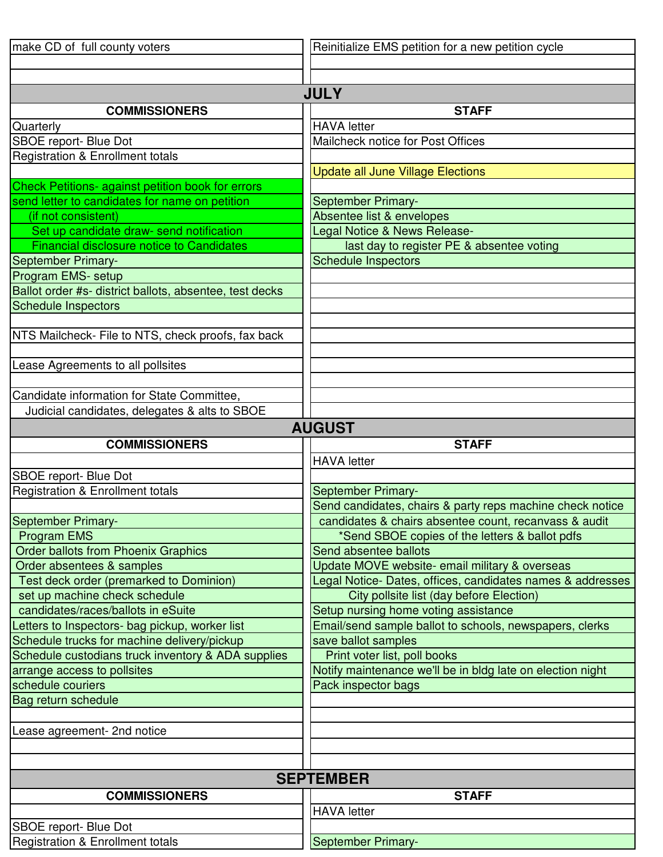| make CD of full county voters                                    | Reinitialize EMS petition for a new petition cycle         |
|------------------------------------------------------------------|------------------------------------------------------------|
|                                                                  |                                                            |
|                                                                  |                                                            |
|                                                                  | <b>JULY</b>                                                |
| <b>COMMISSIONERS</b>                                             | <b>STAFF</b>                                               |
| Quarterly                                                        | <b>HAVA</b> letter                                         |
| SBOE report- Blue Dot                                            | Mailcheck notice for Post Offices                          |
| <b>Registration &amp; Enrollment totals</b>                      |                                                            |
|                                                                  | <b>Update all June Village Elections</b>                   |
| Check Petitions- against petition book for errors                |                                                            |
| send letter to candidates for name on petition                   | September Primary-                                         |
| (if not consistent)                                              | Absentee list & envelopes                                  |
| Set up candidate draw- send notification                         | Legal Notice & News Release-                               |
| <b>Financial disclosure notice to Candidates</b>                 | last day to register PE & absentee voting                  |
| September Primary-                                               | <b>Schedule Inspectors</b>                                 |
| Program EMS- setup                                               |                                                            |
| Ballot order #s- district ballots, absentee, test decks          |                                                            |
| <b>Schedule Inspectors</b>                                       |                                                            |
|                                                                  |                                                            |
| NTS Mailcheck- File to NTS, check proofs, fax back               |                                                            |
|                                                                  |                                                            |
| Lease Agreements to all pollsites                                |                                                            |
|                                                                  |                                                            |
| Candidate information for State Committee,                       |                                                            |
| Judicial candidates, delegates & alts to SBOE                    |                                                            |
|                                                                  | <b>AUGUST</b>                                              |
| <b>COMMISSIONERS</b>                                             | <b>STAFF</b>                                               |
|                                                                  | <b>HAVA</b> letter                                         |
|                                                                  |                                                            |
| SBOE report- Blue Dot                                            |                                                            |
| Registration & Enrollment totals                                 | <b>September Primary-</b>                                  |
|                                                                  | Send candidates, chairs & party reps machine check notice  |
| September Primary-                                               | candidates & chairs absentee count, recanvass & audit      |
| <b>Program EMS</b>                                               | *Send SBOE copies of the letters & ballot pdfs             |
| <b>Order ballots from Phoenix Graphics</b>                       | Send absentee ballots                                      |
| Order absentees & samples                                        | Update MOVE website- email military & overseas             |
| Test deck order (premarked to Dominion)                          | Legal Notice- Dates, offices, candidates names & addresses |
| set up machine check schedule                                    | City pollsite list (day before Election)                   |
| candidates/races/ballots in eSuite                               | Setup nursing home voting assistance                       |
| Letters to Inspectors- bag pickup, worker list                   | Email/send sample ballot to schools, newspapers, clerks    |
| Schedule trucks for machine delivery/pickup                      | save ballot samples                                        |
| Schedule custodians truck inventory & ADA supplies               | Print voter list, poll books                               |
| arrange access to pollsites                                      | Notify maintenance we'll be in bldg late on election night |
| schedule couriers                                                | Pack inspector bags                                        |
| Bag return schedule                                              |                                                            |
|                                                                  |                                                            |
| Lease agreement- 2nd notice                                      |                                                            |
|                                                                  |                                                            |
|                                                                  |                                                            |
|                                                                  | <b>SEPTEMBER</b>                                           |
| <b>COMMISSIONERS</b>                                             | <b>STAFF</b>                                               |
|                                                                  | <b>HAVA</b> letter                                         |
| <b>SBOE</b> report- Blue Dot<br>Registration & Enrollment totals | September Primary-                                         |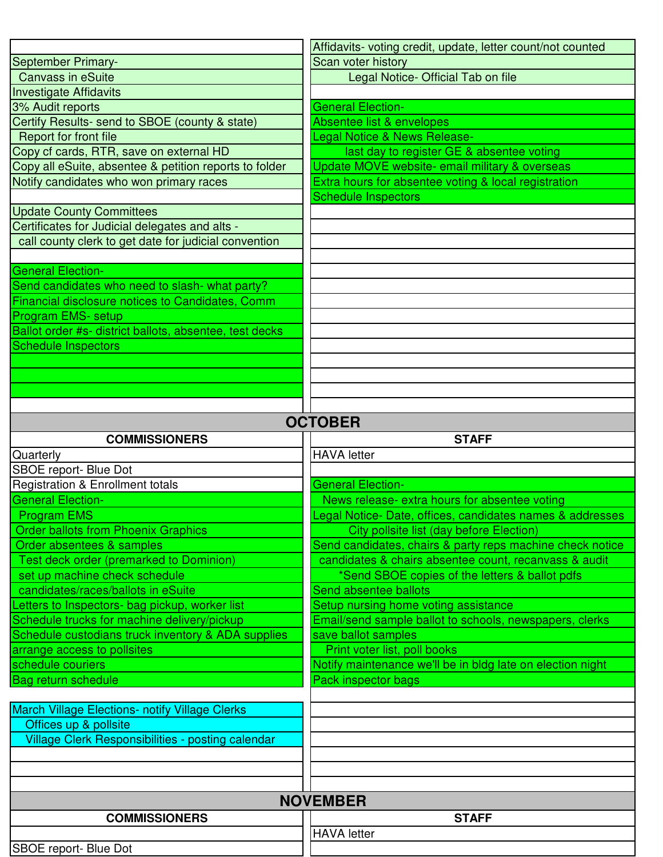|                                                         | Affidavits- voting credit, update, letter count/not counted |
|---------------------------------------------------------|-------------------------------------------------------------|
| September Primary-                                      | Scan voter history                                          |
| <b>Canvass in eSuite</b>                                | Legal Notice- Official Tab on file                          |
| <b>Investigate Affidavits</b>                           |                                                             |
| 3% Audit reports                                        | <b>General Election-</b>                                    |
| Certify Results- send to SBOE (county & state)          | Absentee list & envelopes                                   |
| Report for front file                                   | <b>Legal Notice &amp; News Release-</b>                     |
| Copy cf cards, RTR, save on external HD                 | last day to register GE & absentee voting                   |
| Copy all eSuite, absentee & petition reports to folder  | Update MOVE website- email military & overseas              |
| Notify candidates who won primary races                 | Extra hours for absentee voting & local registration        |
|                                                         | <b>Schedule Inspectors</b>                                  |
| <b>Update County Committees</b>                         |                                                             |
| Certificates for Judicial delegates and alts -          |                                                             |
| call county clerk to get date for judicial convention   |                                                             |
|                                                         |                                                             |
| <b>General Election-</b>                                |                                                             |
| Send candidates who need to slash- what party?          |                                                             |
| Financial disclosure notices to Candidates, Comm        |                                                             |
| Program EMS- setup                                      |                                                             |
| Ballot order #s- district ballots, absentee, test decks |                                                             |
| <b>Schedule Inspectors</b>                              |                                                             |
|                                                         |                                                             |
|                                                         |                                                             |
|                                                         |                                                             |
|                                                         | <b>OCTOBER</b>                                              |
| <b>COMMISSIONERS</b>                                    | <b>STAFF</b>                                                |
| Quarterly                                               | <b>HAVA</b> letter                                          |
| SBOE report- Blue Dot                                   |                                                             |
| <b>Registration &amp; Enrollment totals</b>             | <b>General Election-</b>                                    |
| <b>General Election-</b>                                | News release- extra hours for absentee voting               |
| <b>Program EMS</b>                                      | Legal Notice- Date, offices, candidates names & addresses   |
| <b>Order ballots from Phoenix Graphics</b>              | City pollsite list (day before Election)                    |
| Order absentees & samples                               | Send candidates, chairs & party reps machine check notice   |
| <b>Test deck order (premarked to Dominion)</b>          | candidates & chairs absentee count, recanvass & audit       |
| set up machine check schedule                           | *Send SBOE copies of the letters & ballot pdfs              |
| candidates/races/ballots in eSuite                      | Send absentee ballots                                       |
| Letters to Inspectors- bag pickup, worker list          | Setup nursing home voting assistance                        |
| Schedule trucks for machine delivery/pickup             | Email/send sample ballot to schools, newspapers, clerks     |
| Schedule custodians truck inventory & ADA supplies      | save ballot samples                                         |
| arrange access to pollsites                             | Print voter list, poll books                                |
| schedule couriers                                       | Notify maintenance we'll be in bldg late on election night  |
| Bag return schedule                                     |                                                             |
|                                                         | Pack inspector bags                                         |
|                                                         |                                                             |
| <b>March Village Elections- notify Village Clerks</b>   |                                                             |
| Offices up & pollsite                                   |                                                             |
| Village Clerk Responsibilities - posting calendar       |                                                             |
|                                                         |                                                             |
|                                                         |                                                             |
|                                                         |                                                             |
|                                                         | <b>NOVEMBER</b>                                             |
| <b>COMMISSIONERS</b>                                    | <b>STAFF</b>                                                |
| SBOE report- Blue Dot                                   | <b>HAVA</b> letter                                          |